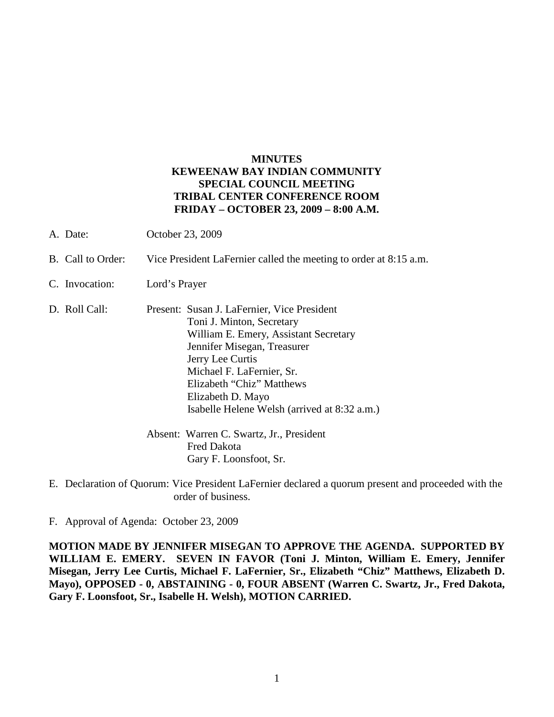## **MINUTES KEWEENAW BAY INDIAN COMMUNITY SPECIAL COUNCIL MEETING TRIBAL CENTER CONFERENCE ROOM FRIDAY – OCTOBER 23, 2009 – 8:00 A.M.**

- A. Date: October 23, 2009
- B. Call to Order: Vice President LaFernier called the meeting to order at 8:15 a.m.
- C. Invocation: Lord's Prayer
- D. Roll Call: Present: Susan J. LaFernier, Vice President Toni J. Minton, Secretary William E. Emery, Assistant Secretary Jennifer Misegan, Treasurer Jerry Lee Curtis Michael F. LaFernier, Sr. Elizabeth "Chiz" Matthews Elizabeth D. Mayo Isabelle Helene Welsh (arrived at 8:32 a.m.)
	- Absent: Warren C. Swartz, Jr., President Fred Dakota Gary F. Loonsfoot, Sr.
- E. Declaration of Quorum: Vice President LaFernier declared a quorum present and proceeded with the order of business.
- F. Approval of Agenda: October 23, 2009

**MOTION MADE BY JENNIFER MISEGAN TO APPROVE THE AGENDA. SUPPORTED BY WILLIAM E. EMERY. SEVEN IN FAVOR (Toni J. Minton, William E. Emery, Jennifer Misegan, Jerry Lee Curtis, Michael F. LaFernier, Sr., Elizabeth "Chiz" Matthews, Elizabeth D. Mayo), OPPOSED - 0, ABSTAINING - 0, FOUR ABSENT (Warren C. Swartz, Jr., Fred Dakota, Gary F. Loonsfoot, Sr., Isabelle H. Welsh), MOTION CARRIED.**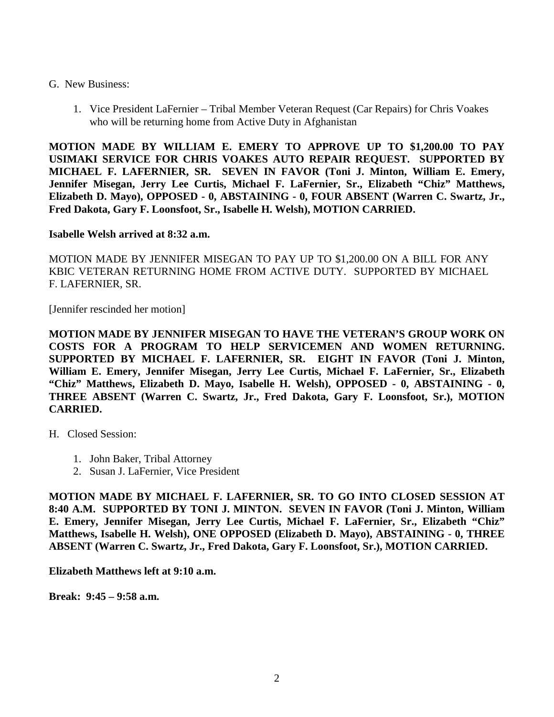## G. New Business:

1. Vice President LaFernier – Tribal Member Veteran Request (Car Repairs) for Chris Voakes who will be returning home from Active Duty in Afghanistan

**MOTION MADE BY WILLIAM E. EMERY TO APPROVE UP TO \$1,200.00 TO PAY USIMAKI SERVICE FOR CHRIS VOAKES AUTO REPAIR REQUEST. SUPPORTED BY MICHAEL F. LAFERNIER, SR. SEVEN IN FAVOR (Toni J. Minton, William E. Emery, Jennifer Misegan, Jerry Lee Curtis, Michael F. LaFernier, Sr., Elizabeth "Chiz" Matthews, Elizabeth D. Mayo), OPPOSED - 0, ABSTAINING - 0, FOUR ABSENT (Warren C. Swartz, Jr., Fred Dakota, Gary F. Loonsfoot, Sr., Isabelle H. Welsh), MOTION CARRIED.**

## **Isabelle Welsh arrived at 8:32 a.m.**

MOTION MADE BY JENNIFER MISEGAN TO PAY UP TO \$1,200.00 ON A BILL FOR ANY KBIC VETERAN RETURNING HOME FROM ACTIVE DUTY. SUPPORTED BY MICHAEL F. LAFERNIER, SR.

[Jennifer rescinded her motion]

**MOTION MADE BY JENNIFER MISEGAN TO HAVE THE VETERAN'S GROUP WORK ON COSTS FOR A PROGRAM TO HELP SERVICEMEN AND WOMEN RETURNING. SUPPORTED BY MICHAEL F. LAFERNIER, SR. EIGHT IN FAVOR (Toni J. Minton, William E. Emery, Jennifer Misegan, Jerry Lee Curtis, Michael F. LaFernier, Sr., Elizabeth "Chiz" Matthews, Elizabeth D. Mayo, Isabelle H. Welsh), OPPOSED - 0, ABSTAINING - 0, THREE ABSENT (Warren C. Swartz, Jr., Fred Dakota, Gary F. Loonsfoot, Sr.), MOTION CARRIED.**

H. Closed Session:

- 1. John Baker, Tribal Attorney
- 2. Susan J. LaFernier, Vice President

**MOTION MADE BY MICHAEL F. LAFERNIER, SR. TO GO INTO CLOSED SESSION AT 8:40 A.M. SUPPORTED BY TONI J. MINTON. SEVEN IN FAVOR (Toni J. Minton, William E. Emery, Jennifer Misegan, Jerry Lee Curtis, Michael F. LaFernier, Sr., Elizabeth "Chiz" Matthews, Isabelle H. Welsh), ONE OPPOSED (Elizabeth D. Mayo), ABSTAINING - 0, THREE ABSENT (Warren C. Swartz, Jr., Fred Dakota, Gary F. Loonsfoot, Sr.), MOTION CARRIED.**

**Elizabeth Matthews left at 9:10 a.m.**

**Break: 9:45 – 9:58 a.m.**